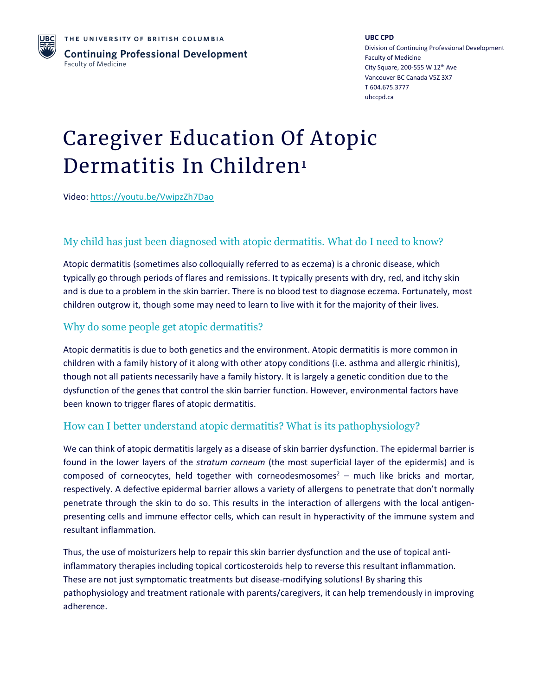

**UBC CPD** Division of Continuing Professional Development Faculty of Medicine City Square, 200-555 W 12<sup>th</sup> Ave Vancouver BC Canada V5Z 3X7 T 604.675.3777 ubccpd.ca

# Caregiver Education Of Atopic Dermatitis In Children<sup>1</sup>

Video:<https://youtu.be/VwipzZh7Dao>

# My child has just been diagnosed with atopic dermatitis. What do I need to know?

Atopic dermatitis (sometimes also colloquially referred to as eczema) is a chronic disease, which typically go through periods of flares and remissions. It typically presents with dry, red, and itchy skin and is due to a problem in the skin barrier. There is no blood test to diagnose eczema. Fortunately, most children outgrow it, though some may need to learn to live with it for the majority of their lives.

### Why do some people get atopic dermatitis?

Atopic dermatitis is due to both genetics and the environment. Atopic dermatitis is more common in children with a family history of it along with other atopy conditions (i.e. asthma and allergic rhinitis), though not all patients necessarily have a family history. It is largely a genetic condition due to the dysfunction of the genes that control the skin barrier function. However, environmental factors have been known to trigger flares of atopic dermatitis.

# How can I better understand atopic dermatitis? What is its pathophysiology?

We can think of atopic dermatitis largely as a disease of skin barrier dysfunction. The epidermal barrier is found in the lower layers of the *stratum corneum* (the most superficial layer of the epidermis) and is composed of corneocytes, held together with corneodesmosomes<sup>2</sup> – much like bricks and mortar, respectively. A defective epidermal barrier allows a variety of allergens to penetrate that don't normally penetrate through the skin to do so. This results in the interaction of allergens with the local antigenpresenting cells and immune effector cells, which can result in hyperactivity of the immune system and resultant inflammation.

Thus, the use of moisturizers help to repair this skin barrier dysfunction and the use of topical antiinflammatory therapies including topical corticosteroids help to reverse this resultant inflammation. These are not just symptomatic treatments but disease-modifying solutions! By sharing this pathophysiology and treatment rationale with parents/caregivers, it can help tremendously in improving adherence.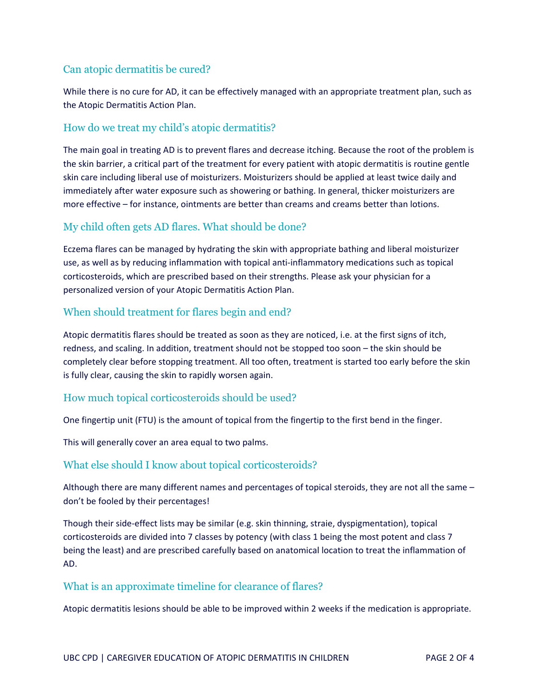## Can atopic dermatitis be cured?

While there is no cure for AD, it can be effectively managed with an appropriate treatment plan, such as the Atopic Dermatitis Action Plan.

#### How do we treat my child's atopic dermatitis?

The main goal in treating AD is to prevent flares and decrease itching. Because the root of the problem is the skin barrier, a critical part of the treatment for every patient with atopic dermatitis is routine gentle skin care including liberal use of moisturizers. Moisturizers should be applied at least twice daily and immediately after water exposure such as showering or bathing. In general, thicker moisturizers are more effective – for instance, ointments are better than creams and creams better than lotions.

# My child often gets AD flares. What should be done?

Eczema flares can be managed by hydrating the skin with appropriate bathing and liberal moisturizer use, as well as by reducing inflammation with topical anti-inflammatory medications such as topical corticosteroids, which are prescribed based on their strengths. Please ask your physician for a personalized version of your Atopic Dermatitis Action Plan.

### When should treatment for flares begin and end?

Atopic dermatitis flares should be treated as soon as they are noticed, i.e. at the first signs of itch, redness, and scaling. In addition, treatment should not be stopped too soon – the skin should be completely clear before stopping treatment. All too often, treatment is started too early before the skin is fully clear, causing the skin to rapidly worsen again.

#### How much topical corticosteroids should be used?

One fingertip unit (FTU) is the amount of topical from the fingertip to the first bend in the finger.

This will generally cover an area equal to two palms.

#### What else should I know about topical corticosteroids?

Although there are many different names and percentages of topical steroids, they are not all the same – don't be fooled by their percentages!

Though their side-effect lists may be similar (e.g. skin thinning, straie, dyspigmentation), topical corticosteroids are divided into 7 classes by potency (with class 1 being the most potent and class 7 being the least) and are prescribed carefully based on anatomical location to treat the inflammation of AD.

#### What is an approximate timeline for clearance of flares?

Atopic dermatitis lesions should be able to be improved within 2 weeks if the medication is appropriate.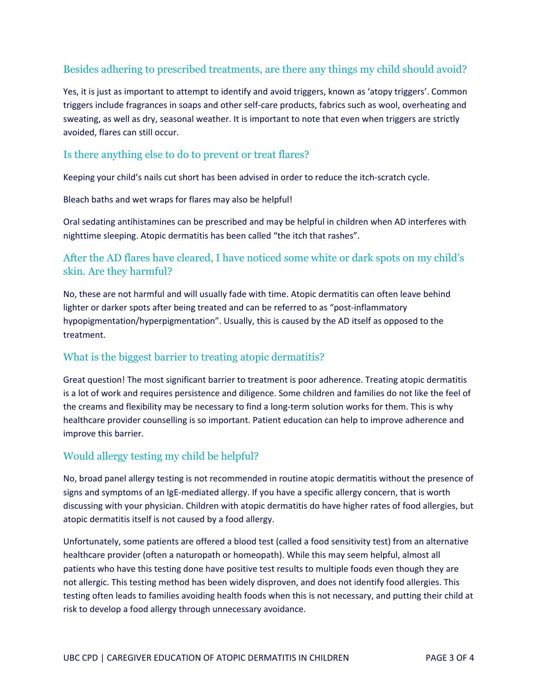### Besides adhering to prescribed treatments, are there any things my child should avoid?

Yes, it is just as important to attempt to identify and avoid triggers, known as 'atopy triggers'. Common triggers include fragrances in soaps and other self-care products, fabrics such as wool, overheating and sweating, as well as dry, seasonal weather. It is important to note that even when triggers are strictly avoided, flares can still occur.

#### Is there anything else to do to prevent or treat flares?

Keeping your child's nails cut short has been advised in order to reduce the itch-scratch cycle.

Bleach baths and wet wraps for flares may also be helpful!

Oral sedating antihistamines can be prescribed and may be helpful in children when AD interferes with nighttime sleeping. Atopic dermatitis has been called "the itch that rashes".

### After the AD flares have cleared, I have noticed some white or dark spots on my child's skin. Are they harmful?

No, these are not harmful and will usually fade with time. Atopic dermatitis can often leave behind lighter or darker spots after being treated and can be referred to as "post-inflammatory hypopigmentation/hyperpigmentation". Usually, this is caused by the AD itself as opposed to the treatment.

#### What is the biggest barrier to treating atopic dermatitis?

Great question! The most significant barrier to treatment is poor adherence. Treating atopic dermatitis is a lot of work and requires persistence and diligence. Some children and families do not like the feel of the creams and flexibility may be necessary to find a long-term solution works for them. This is why healthcare provider counselling is so important. Patient education can help to improve adherence and improve this barrier.

#### Would allergy testing my child be helpful?

No, broad panel allergy testing is not recommended in routine atopic dermatitis without the presence of signs and symptoms of an IgE-mediated allergy. If you have a specific allergy concern, that is worth discussing with your physician. Children with atopic dermatitis do have higher rates of food allergies, but atopic dermatitis itself is not caused by a food allergy.

Unfortunately, some patients are offered a blood test (called a food sensitivity test) from an alternative healthcare provider (often a naturopath or homeopath). While this may seem helpful, almost all patients who have this testing done have positive test results to multiple foods even though they are not allergic. This testing method has been widely disproven, and does not identify food allergies. This testing often leads to families avoiding health foods when this is not necessary, and putting their child at risk to develop a food allergy through unnecessary avoidance.